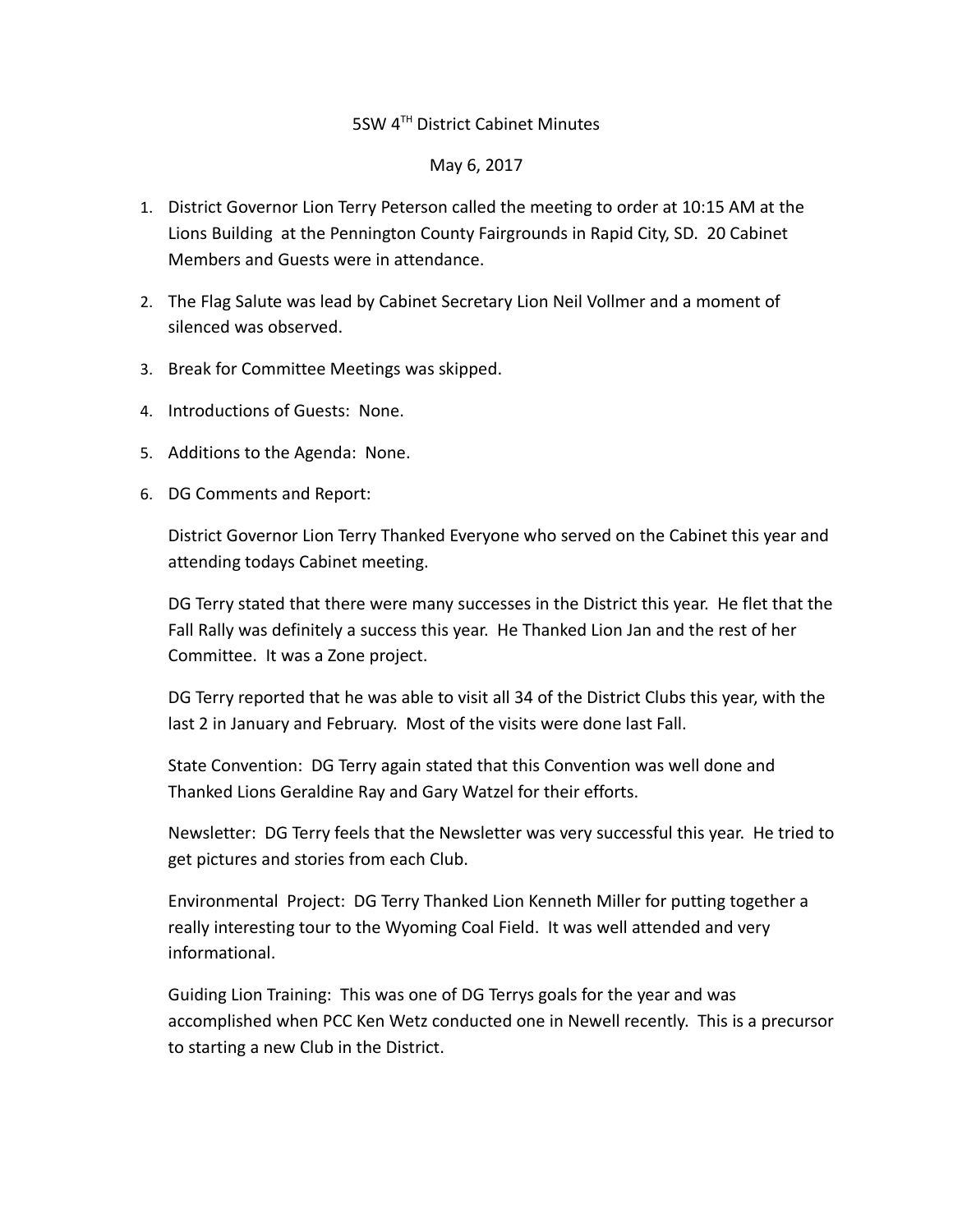## 5SW 4TH District Cabinet Minutes

## May 6, 2017

- 1. District Governor Lion Terry Peterson called the meeting to order at 10:15 AM at the Lions Building at the Pennington County Fairgrounds in Rapid City, SD. 20 Cabinet Members and Guests were in attendance.
- 2. The Flag Salute was lead by Cabinet Secretary Lion Neil Vollmer and a moment of silenced was observed.
- 3. Break for Committee Meetings was skipped.
- 4. Introductions of Guests: None.
- 5. Additions to the Agenda: None.
- 6. DG Comments and Report:

District Governor Lion Terry Thanked Everyone who served on the Cabinet this year and attending todays Cabinet meeting.

DG Terry stated that there were many successes in the District this year. He flet that the Fall Rally was definitely a success this year. He Thanked Lion Jan and the rest of her Committee. It was a Zone project.

DG Terry reported that he was able to visit all 34 of the District Clubs this year, with the last 2 in January and February. Most of the visits were done last Fall.

State Convention: DG Terry again stated that this Convention was well done and Thanked Lions Geraldine Ray and Gary Watzel for their efforts.

Newsletter: DG Terry feels that the Newsletter was very successful this year. He tried to get pictures and stories from each Club.

Environmental Project: DG Terry Thanked Lion Kenneth Miller for putting together a really interesting tour to the Wyoming Coal Field. It was well attended and very informational.

Guiding Lion Training: This was one of DG Terrys goals for the year and was accomplished when PCC Ken Wetz conducted one in Newell recently. This is a precursor to starting a new Club in the District.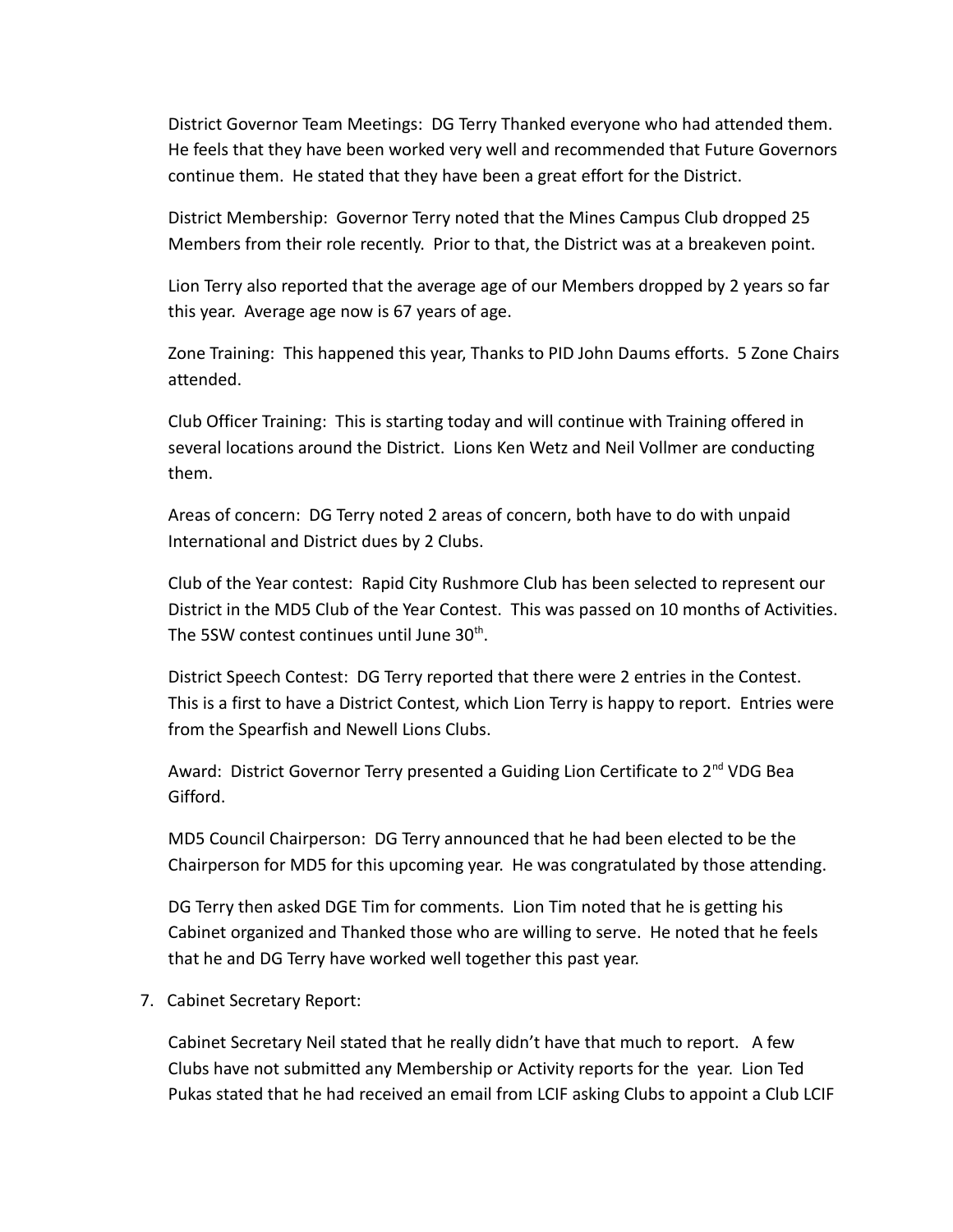District Governor Team Meetings: DG Terry Thanked everyone who had attended them. He feels that they have been worked very well and recommended that Future Governors continue them. He stated that they have been a great effort for the District.

District Membership: Governor Terry noted that the Mines Campus Club dropped 25 Members from their role recently. Prior to that, the District was at a breakeven point.

Lion Terry also reported that the average age of our Members dropped by 2 years so far this year. Average age now is 67 years of age.

Zone Training: This happened this year, Thanks to PID John Daums efforts. 5 Zone Chairs attended.

Club Officer Training: This is starting today and will continue with Training offered in several locations around the District. Lions Ken Wetz and Neil Vollmer are conducting them.

Areas of concern: DG Terry noted 2 areas of concern, both have to do with unpaid International and District dues by 2 Clubs.

Club of the Year contest: Rapid City Rushmore Club has been selected to represent our District in the MD5 Club of the Year Contest. This was passed on 10 months of Activities. The 5SW contest continues until June 30<sup>th</sup>.

District Speech Contest: DG Terry reported that there were 2 entries in the Contest. This is a first to have a District Contest, which Lion Terry is happy to report. Entries were from the Spearfish and Newell Lions Clubs.

Award: District Governor Terry presented a Guiding Lion Certificate to  $2^{nd}$  VDG Bea Gifford.

MD5 Council Chairperson: DG Terry announced that he had been elected to be the Chairperson for MD5 for this upcoming year. He was congratulated by those attending.

DG Terry then asked DGE Tim for comments. Lion Tim noted that he is getting his Cabinet organized and Thanked those who are willing to serve. He noted that he feels that he and DG Terry have worked well together this past year.

7. Cabinet Secretary Report:

Cabinet Secretary Neil stated that he really didn't have that much to report. A few Clubs have not submitted any Membership or Activity reports for the year. Lion Ted Pukas stated that he had received an email from LCIF asking Clubs to appoint a Club LCIF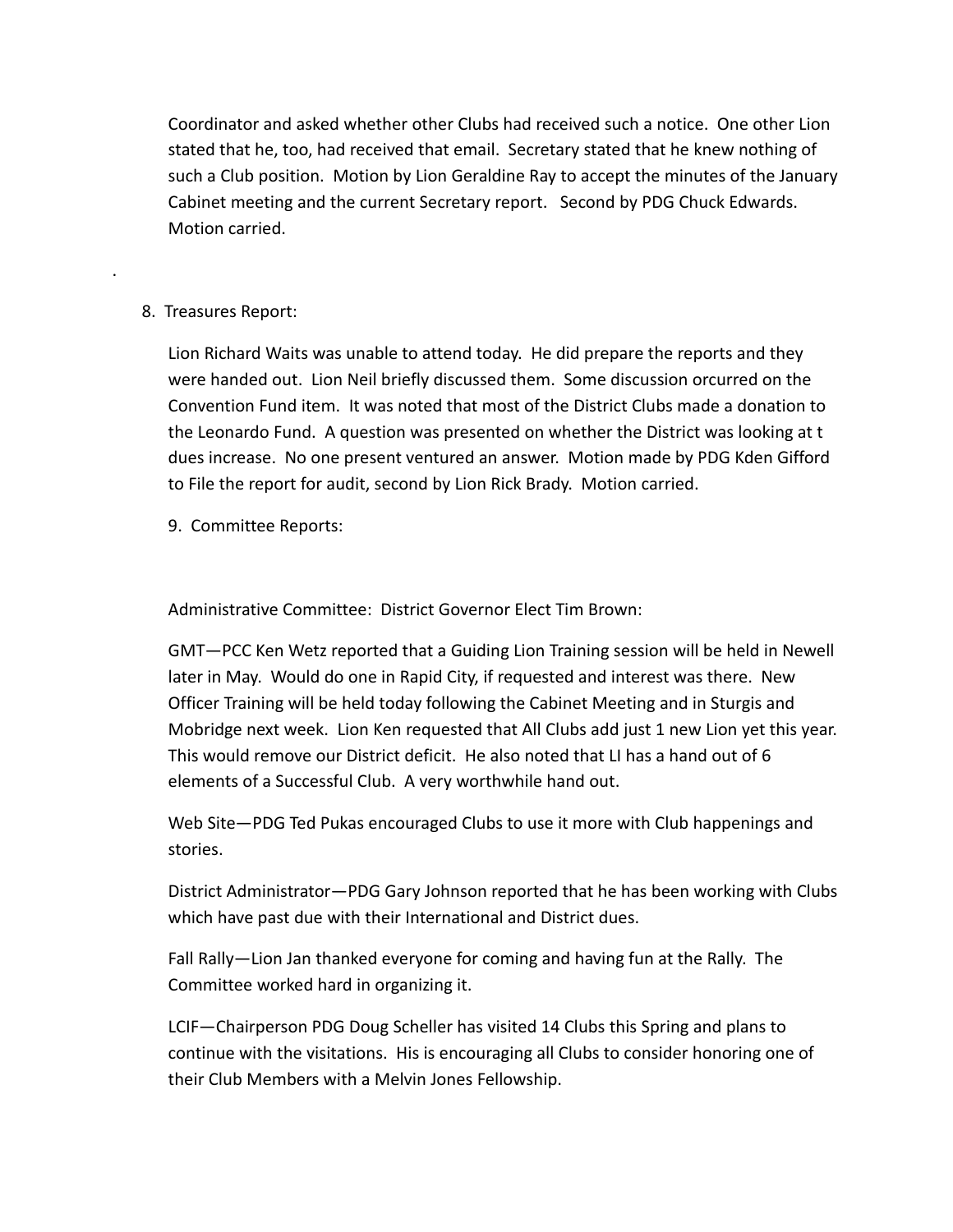Coordinator and asked whether other Clubs had received such a notice. One other Lion stated that he, too, had received that email. Secretary stated that he knew nothing of such a Club position. Motion by Lion Geraldine Ray to accept the minutes of the January Cabinet meeting and the current Secretary report. Second by PDG Chuck Edwards. Motion carried.

## 8. Treasures Report:

.

Lion Richard Waits was unable to attend today. He did prepare the reports and they were handed out. Lion Neil briefly discussed them. Some discussion orcurred on the Convention Fund item. It was noted that most of the District Clubs made a donation to the Leonardo Fund. A question was presented on whether the District was looking at t dues increase. No one present ventured an answer. Motion made by PDG Kden Gifford to File the report for audit, second by Lion Rick Brady. Motion carried.

9. Committee Reports:

Administrative Committee: District Governor Elect Tim Brown:

GMT—PCC Ken Wetz reported that a Guiding Lion Training session will be held in Newell later in May. Would do one in Rapid City, if requested and interest was there. New Officer Training will be held today following the Cabinet Meeting and in Sturgis and Mobridge next week. Lion Ken requested that All Clubs add just 1 new Lion yet this year. This would remove our District deficit. He also noted that LI has a hand out of 6 elements of a Successful Club. A very worthwhile hand out.

Web Site—PDG Ted Pukas encouraged Clubs to use it more with Club happenings and stories.

District Administrator—PDG Gary Johnson reported that he has been working with Clubs which have past due with their International and District dues.

Fall Rally—Lion Jan thanked everyone for coming and having fun at the Rally. The Committee worked hard in organizing it.

LCIF—Chairperson PDG Doug Scheller has visited 14 Clubs this Spring and plans to continue with the visitations. His is encouraging all Clubs to consider honoring one of their Club Members with a Melvin Jones Fellowship.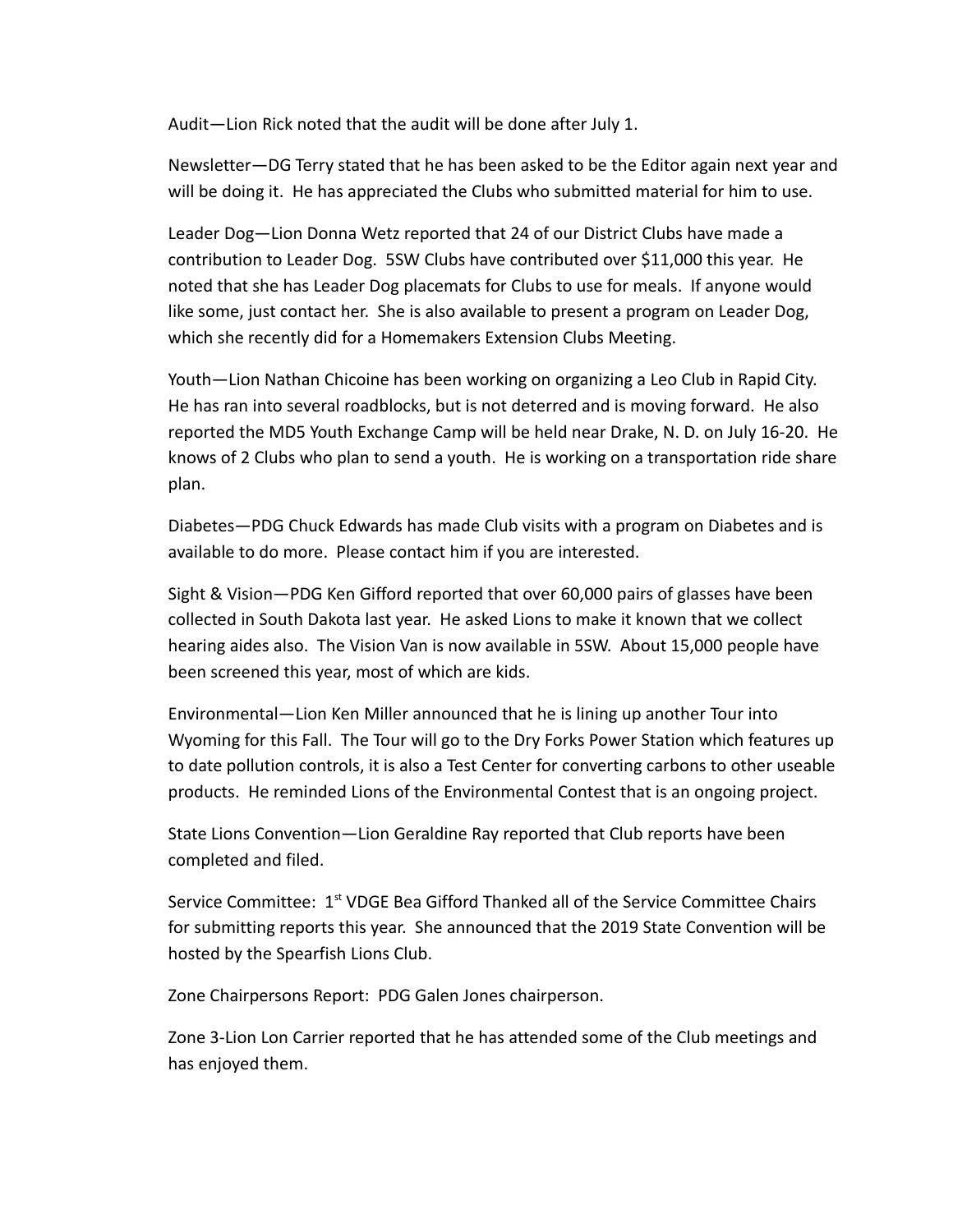Audit—Lion Rick noted that the audit will be done after July 1.

Newsletter—DG Terry stated that he has been asked to be the Editor again next year and will be doing it. He has appreciated the Clubs who submitted material for him to use.

Leader Dog—Lion Donna Wetz reported that 24 of our District Clubs have made a contribution to Leader Dog. 5SW Clubs have contributed over \$11,000 this year. He noted that she has Leader Dog placemats for Clubs to use for meals. If anyone would like some, just contact her. She is also available to present a program on Leader Dog, which she recently did for a Homemakers Extension Clubs Meeting.

Youth—Lion Nathan Chicoine has been working on organizing a Leo Club in Rapid City. He has ran into several roadblocks, but is not deterred and is moving forward. He also reported the MD5 Youth Exchange Camp will be held near Drake, N. D. on July 16-20. He knows of 2 Clubs who plan to send a youth. He is working on a transportation ride share plan.

Diabetes—PDG Chuck Edwards has made Club visits with a program on Diabetes and is available to do more. Please contact him if you are interested.

Sight & Vision—PDG Ken Gifford reported that over 60,000 pairs of glasses have been collected in South Dakota last year. He asked Lions to make it known that we collect hearing aides also. The Vision Van is now available in 5SW. About 15,000 people have been screened this year, most of which are kids.

Environmental—Lion Ken Miller announced that he is lining up another Tour into Wyoming for this Fall. The Tour will go to the Dry Forks Power Station which features up to date pollution controls, it is also a Test Center for converting carbons to other useable products. He reminded Lions of the Environmental Contest that is an ongoing project.

State Lions Convention—Lion Geraldine Ray reported that Club reports have been completed and filed.

Service Committee:  $1<sup>st</sup>$  VDGE Bea Gifford Thanked all of the Service Committee Chairs for submitting reports this year. She announced that the 2019 State Convention will be hosted by the Spearfish Lions Club.

Zone Chairpersons Report: PDG Galen Jones chairperson.

Zone 3-Lion Lon Carrier reported that he has attended some of the Club meetings and has enjoyed them.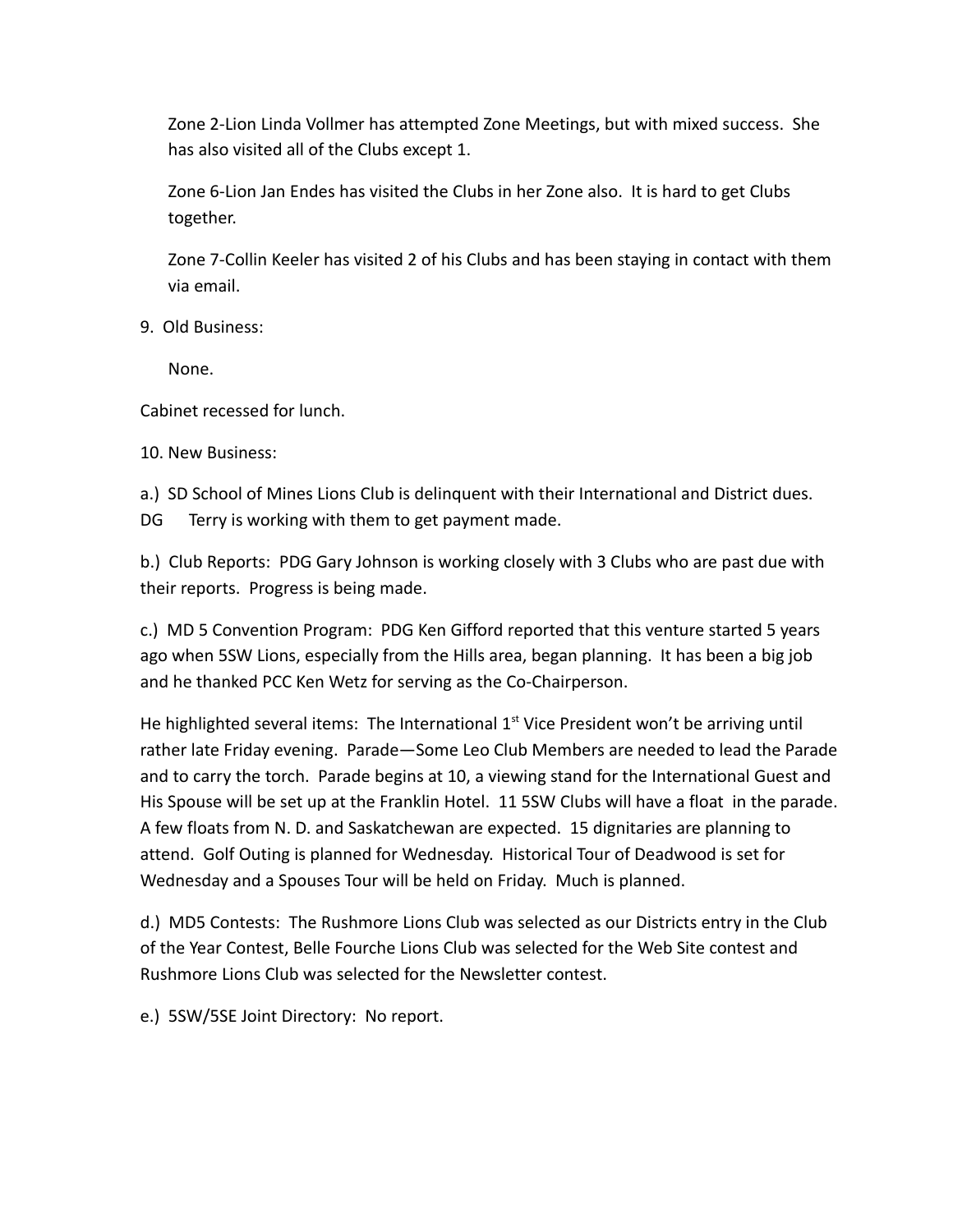Zone 2-Lion Linda Vollmer has attempted Zone Meetings, but with mixed success. She has also visited all of the Clubs except 1.

Zone 6-Lion Jan Endes has visited the Clubs in her Zone also. It is hard to get Clubs together.

Zone 7-Collin Keeler has visited 2 of his Clubs and has been staying in contact with them via email.

9. Old Business:

None.

Cabinet recessed for lunch.

10. New Business:

a.) SD School of Mines Lions Club is delinquent with their International and District dues. DG Terry is working with them to get payment made.

b.) Club Reports: PDG Gary Johnson is working closely with 3 Clubs who are past due with their reports. Progress is being made.

c.) MD 5 Convention Program: PDG Ken Gifford reported that this venture started 5 years ago when 5SW Lions, especially from the Hills area, began planning. It has been a big job and he thanked PCC Ken Wetz for serving as the Co-Chairperson.

He highlighted several items: The International  $1<sup>st</sup>$  Vice President won't be arriving until rather late Friday evening. Parade—Some Leo Club Members are needed to lead the Parade and to carry the torch. Parade begins at 10, a viewing stand for the International Guest and His Spouse will be set up at the Franklin Hotel. 11 5SW Clubs will have a float in the parade. A few floats from N. D. and Saskatchewan are expected. 15 dignitaries are planning to attend. Golf Outing is planned for Wednesday. Historical Tour of Deadwood is set for Wednesday and a Spouses Tour will be held on Friday. Much is planned.

d.) MD5 Contests: The Rushmore Lions Club was selected as our Districts entry in the Club of the Year Contest, Belle Fourche Lions Club was selected for the Web Site contest and Rushmore Lions Club was selected for the Newsletter contest.

e.) 5SW/5SE Joint Directory: No report.